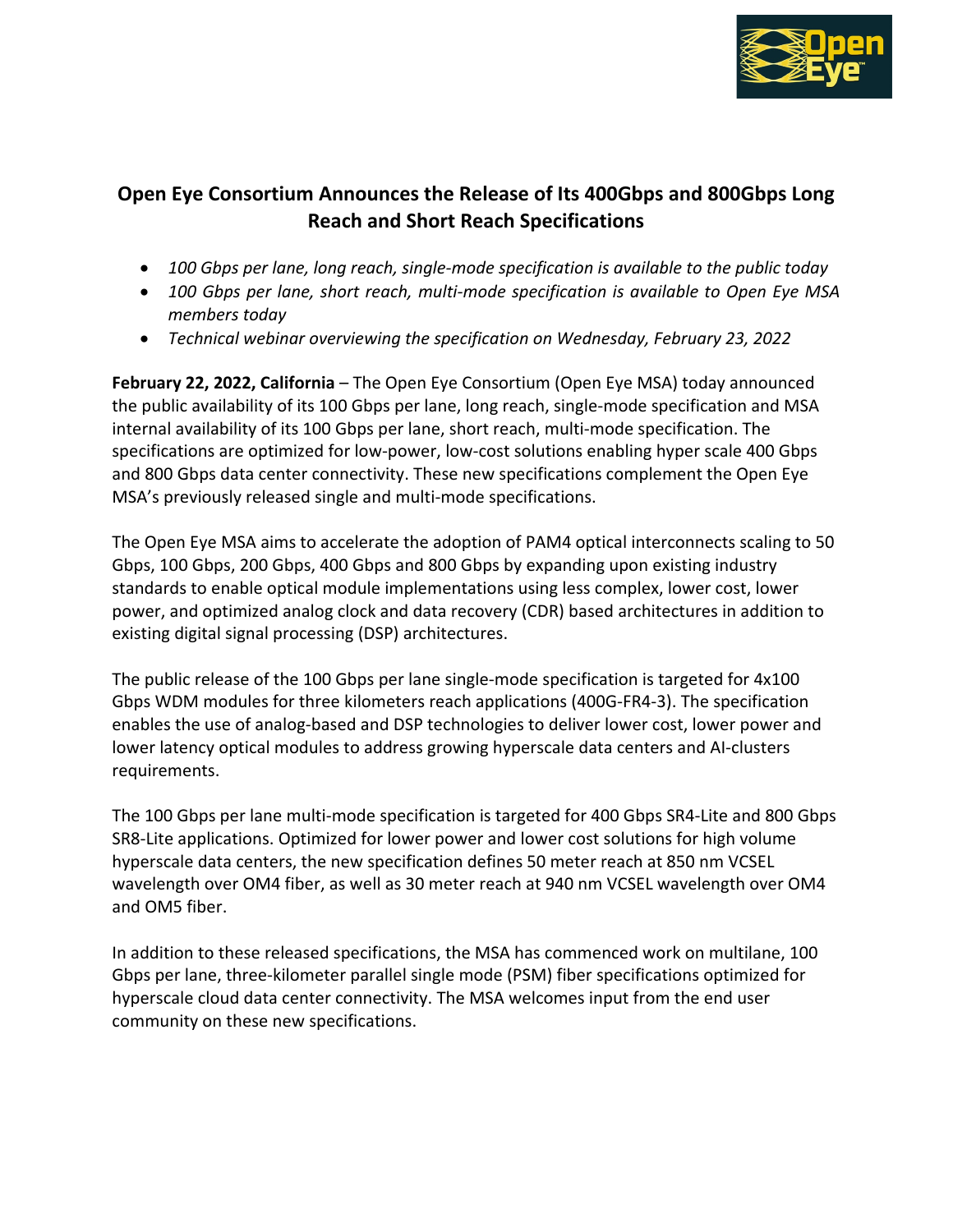

## **Open Eye Consortium Announces the Release of Its 400Gbps and 800Gbps Long Reach and Short Reach Specifications**

- *100 Gbps per lane, long reach, single-mode specification is available to the public today*
- *100 Gbps per lane, short reach, multi-mode specification is available to Open Eye MSA members today*
- *Technical webinar overviewing the specification on Wednesday, February 23, 2022*

**February 22, 2022, California** – The Open Eye Consortium (Open Eye MSA) today announced the public availability of its 100 Gbps per lane, long reach, single-mode specification and MSA internal availability of its 100 Gbps per lane, short reach, multi-mode specification. The specifications are optimized for low-power, low-cost solutions enabling hyper scale 400 Gbps and 800 Gbps data center connectivity. These new specifications complement the Open Eye MSA's previously released single and multi-mode specifications.

The Open Eye MSA aims to accelerate the adoption of PAM4 optical interconnects scaling to 50 Gbps, 100 Gbps, 200 Gbps, 400 Gbps and 800 Gbps by expanding upon existing industry standards to enable optical module implementations using less complex, lower cost, lower power, and optimized analog clock and data recovery (CDR) based architectures in addition to existing digital signal processing (DSP) architectures.

The public release of the 100 Gbps per lane single-mode specification is targeted for 4x100 Gbps WDM modules for three kilometers reach applications (400G-FR4-3). The specification enables the use of analog-based and DSP technologies to deliver lower cost, lower power and lower latency optical modules to address growing hyperscale data centers and AI-clusters requirements.

The 100 Gbps per lane multi-mode specification is targeted for 400 Gbps SR4-Lite and 800 Gbps SR8-Lite applications. Optimized for lower power and lower cost solutions for high volume hyperscale data centers, the new specification defines 50 meter reach at 850 nm VCSEL wavelength over OM4 fiber, as well as 30 meter reach at 940 nm VCSEL wavelength over OM4 and OM5 fiber.

In addition to these released specifications, the MSA has commenced work on multilane, 100 Gbps per lane, three-kilometer parallel single mode (PSM) fiber specifications optimized for hyperscale cloud data center connectivity. The MSA welcomes input from the end user community on these new specifications.